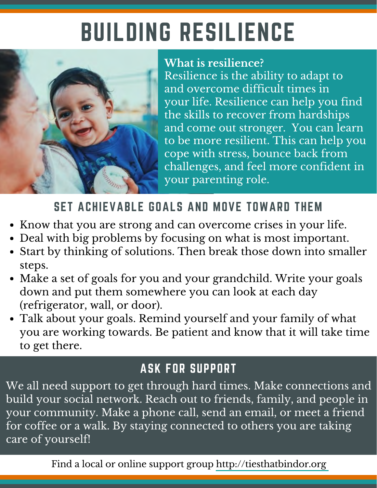# BUILDING RESILIENCE



#### **What is resilience?**

Resilience is the ability to adapt to and overcome difficult times in your life. Resilience can help you find the skills to recover from hardships and come out stronger. You can learn to be more resilient. This can help you cope with stress, bounce back from challenges, and feel more confident in your parenting role.

## SET ACHIEVABLE GOALS AND MOVE TOWARD THEM

- Know that you are strong and can overcome crises in your life.
- Deal with big problems by focusing on what is most important.
- Start by thinking of solutions. Then break those down into smaller steps.
- Make a set of goals for you and your grandchild. Write your goals down and put them somewhere you can look at each day (refrigerator, wall, or door).
- Talk about your goals. Remind yourself and your family of what you are working towards. Be patient and know that it will take time to get there.

### ASK FOR SUPPORT

We all need support to get through hard times. Make connections and build your social network. Reach out to friends, family, and people in your community. Make a phone call, send an email, or meet a friend for coffee or a walk. By staying connected to others you are taking care of yourself!

Find a local or online support group http://tiesthatbindor.org